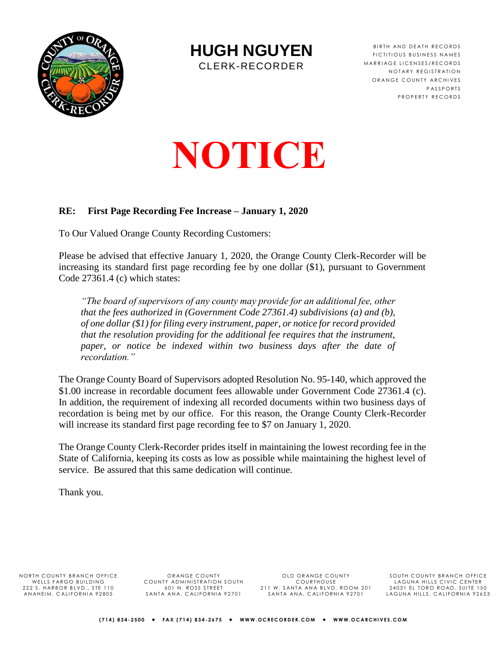

**HUGH NGUYEN**

CLERK-RECORDER

BIRTH AND DEATH RECORDS FICTITIOUS BUSINESS NAMES MARRIAGE LICENSES/RECORDS NOTARY REGISTRATION ORANGE COUNTY ARCHIVES **PASSPORTS** PROPERTY RECORDS

# **NOTICE**

#### **RE: First Page Recording Fee Increase – January 1, 2020**

To Our Valued Orange County Recording Customers:

Please be advised that effective January 1, 2020, the Orange County Clerk-Recorder will be increasing its standard first page recording fee by one dollar (\$1), pursuant to Government Code 27361.4 (c) which states:

*"The board of supervisors of any county may provide for an additional fee, other that the fees authorized in (Government Code 27361.4) subdivisions (a) and (b), of one dollar (\$1) for filing every instrument, paper, or notice for record provided that the resolution providing for the additional fee requires that the instrument, paper, or notice be indexed within two business days after the date of recordation."*

The Orange County Board of Supervisors adopted Resolution No. 95-140, which approved the \$1.00 increase in recordable document fees allowable under Government Code 27361.4 (c). In addition, the requirement of indexing all recorded documents within two business days of recordation is being met by our office. For this reason, the Orange County Clerk-Recorder will increase its standard first page recording fee to \$7 on January 1, 2020.

The Orange County Clerk-Recorder prides itself in maintaining the lowest recording fee in the State of California, keeping its costs as low as possible while maintaining the highest level of service. Be assured that this same dedication will continue.

Thank you.

NORTH COUNTY BRANCH OFFICE WELLS FARGO BUILDING<br>222 S. HARBOR BLVD., STE 110 AN AHEIM, CALIFORNIA 92805

OR ANGE COUNTY COUNTY ADMINISTRATION SOUTH<br>601 N. ROSS STREET SANTA ANA, CALIFORNIA 92701

OLD ORANGE COUNTY COURTHOUSE<br>211 W. SANTA ANA BLVD. ROOM 201<br>SANTA ANA, CALIFORNIA 92701

SOUTH COUNTY BRANCH OFFICE LAGUNA HILLS CIVIC CENTER<br>24031 EL TORO ROAD, SUITE 150 LAGUNA HILLS, CALIFORNIA 92653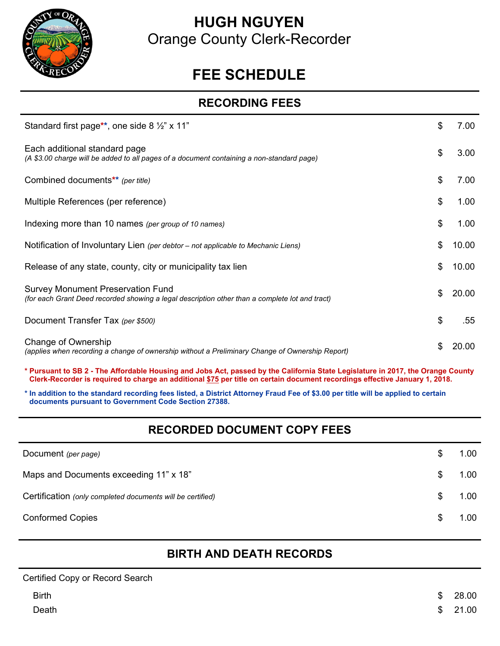

# **HUGH NGUYEN**  Orange County Clerk-Recorder

# **FEE SCHEDULE**

#### **RECORDING FEES**

| Standard first page**, one side 8 $\frac{1}{2}$ " x 11"                                                                                    | \$ | 7.00  |
|--------------------------------------------------------------------------------------------------------------------------------------------|----|-------|
| Each additional standard page<br>(A \$3.00 charge will be added to all pages of a document containing a non-standard page)                 | \$ | 3.00  |
| Combined documents** (per title)                                                                                                           | \$ | 7.00  |
| Multiple References (per reference)                                                                                                        | \$ | 1.00  |
| Indexing more than 10 names (per group of 10 names)                                                                                        | \$ | 1.00  |
| Notification of Involuntary Lien (per debtor – not applicable to Mechanic Liens)                                                           | \$ | 10.00 |
| Release of any state, county, city or municipality tax lien                                                                                | \$ | 10.00 |
| <b>Survey Monument Preservation Fund</b><br>(for each Grant Deed recorded showing a legal description other than a complete lot and tract) | \$ | 20.00 |
| Document Transfer Tax (per \$500)                                                                                                          | \$ | .55   |
| Change of Ownership<br>(applies when recording a change of ownership without a Preliminary Change of Ownership Report)                     | S  | 20.00 |

**\* Pursuant to SB 2 - The Affordable Housing and Jobs Act, passed by the California State Legislature in 2017, the Orange County Clerk-Recorder is required to charge an additional \$75 per title on certain document recordings effective January 1, 2018.**

**\* In addition to the standard recording fees listed, a District Attorney Fraud Fee of \$3.00 per title will be applied to certain documents pursuant to Government Code Section 27388.**

## **RECORDED DOCUMENT COPY FEES**

| Document (per page)                                        |    | 1.00              |
|------------------------------------------------------------|----|-------------------|
| Maps and Documents exceeding 11" x 18"                     |    | 1.00              |
| Certification (only completed documents will be certified) |    | 1.00 <sub>1</sub> |
| <b>Conformed Copies</b>                                    | S. | 1.00              |

## **BIRTH AND DEATH RECORDS**

| Certified Copy or Record Search |             |
|---------------------------------|-------------|
| <b>Birth</b>                    | \$<br>28.00 |
| Death                           | \$21.00     |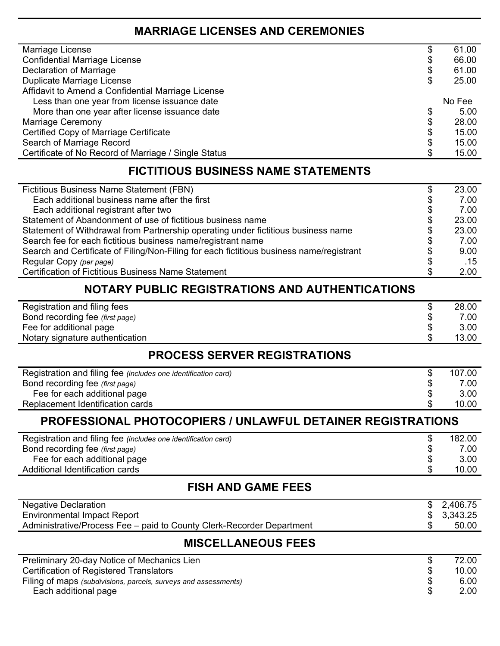#### **MARRIAGE LICENSES AND CEREMONIES**

| Marriage License                                     | æ  | 61.00  |
|------------------------------------------------------|----|--------|
| <b>Confidential Marriage License</b>                 | \$ | 66.00  |
| Declaration of Marriage                              | \$ | 61.00  |
| Duplicate Marriage License                           | \$ | 25.00  |
| Affidavit to Amend a Confidential Marriage License   |    |        |
| Less than one year from license issuance date        |    | No Fee |
| More than one year after license issuance date       | \$ | 5.00   |
| <b>Marriage Ceremony</b>                             | \$ | 28.00  |
| Certified Copy of Marriage Certificate               | \$ | 15.00  |
| Search of Marriage Record                            | S  | 15.00  |
| Certificate of No Record of Marriage / Single Status |    | 15.00  |
|                                                      |    |        |

#### **FICTITIOUS BUSINESS NAME STATEMENTS**

| Fictitious Business Name Statement (FBN)                                                 | \$<br>23.00 |
|------------------------------------------------------------------------------------------|-------------|
| Each additional business name after the first                                            | \$<br>7.00  |
| Each additional registrant after two                                                     | \$<br>7.00  |
| Statement of Abandonment of use of fictitious business name                              | \$<br>23.00 |
| Statement of Withdrawal from Partnership operating under fictitious business name        | \$<br>23.00 |
| Search fee for each fictitious business name/registrant name                             | \$<br>7.00  |
| Search and Certificate of Filing/Non-Filing for each fictitious business name/registrant | \$<br>9.00  |
| Regular Copy (per page)                                                                  | \$<br>.15   |
| <b>Certification of Fictitious Business Name Statement</b>                               | \$<br>2.00  |

#### **NOTARY PUBLIC REGISTRATIONS AND AUTHENTICATIONS**

| Registration and filing fees    | 28.00 |
|---------------------------------|-------|
| Bond recording fee (first page) | 7.00  |
| Fee for additional page         | 3.00  |
| Notary signature authentication | 13.00 |

# **PROCESS SERVER REGISTRATIONS**

| Registration and filing fee (includes one identification card) | 107.00 |
|----------------------------------------------------------------|--------|
| Bond recording fee (first page)                                | 7.00   |
| Fee for each additional page                                   | 3.00   |
| Replacement Identification cards                               | 10.00  |

## **PROFESSIONAL PHOTOCOPIERS / UNLAWFUL DETAINER REGISTRATIONS**

| Registration and filing fee (includes one identification card) | 182.00 |
|----------------------------------------------------------------|--------|
| Bond recording fee (first page)                                | 7.00   |
| Fee for each additional page                                   | 3.00   |
| Additional Identification cards                                | 10.00  |

#### **FISH AND GAME FEES**

| <b>Negative Declaration</b>                                           | \$2,480.25 |
|-----------------------------------------------------------------------|------------|
| <b>Environmental Impact Report</b>                                    | \$3,445.25 |
| Administrative/Process Fee – paid to County Clerk-Recorder Department | 50.00      |
|                                                                       |            |

#### **MISCELLANEOUS FEES**

| Preliminary 20-day Notice of Mechanics Lien                     |    | 72.00 |
|-----------------------------------------------------------------|----|-------|
| <b>Certification of Registered Translators</b>                  | -S | 10.00 |
| Filing of maps (subdivisions, parcels, surveys and assessments) |    | 6.00  |
| Each additional page                                            |    | 2.00  |
|                                                                 |    |       |